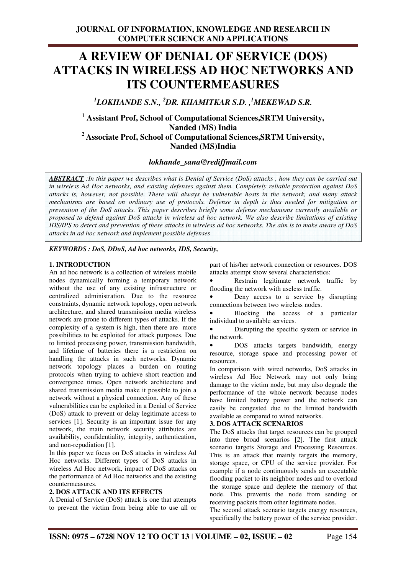# **A REVIEW OF DENIAL OF SERVICE (DOS) ATTACKS IN WIRELESS AD HOC NETWORKS AND ITS COUNTERMEASURES**

*1 LOKHANDE S.N., <sup>2</sup>DR. KHAMITKAR S.D. ,<sup>1</sup>MEKEWAD S.R.* 

**1 Assistant Prof, School of Computational Sciences,SRTM University, Nanded (MS) India <sup>2</sup>Associate Prof, School of Computational Sciences,SRTM University, Nanded (MS)India** 

## *lokhande\_sana@rediffmail.com*

*ABSTRACT :In this paper we describes what is Denial of Service (DoS) attacks , how they can be carried out in wireless Ad Hoc networks, and existing defenses against them. Completely reliable protection against DoS attacks is, however, not possible. There will always be vulnerable hosts in the network, and many attack mechanisms are based on ordinary use of protocols. Defense in depth is thus needed for mitigation or prevention of the DoS attacks. This paper describes briefly some defense mechanisms currently available or proposed to defend against DoS attacks in wireless ad hoc network. We also describe limitations of existing IDS/IPS to detect and prevention of these attacks in wireless ad hoc networks. The aim is to make aware of DoS attacks in ad hoc network and implement possible defenses* 

## *KEYWORDS : DoS, DDoS, Ad hoc networks, IDS, Security,*

#### **1. INTRODUCTION**

An ad hoc network is a collection of wireless mobile nodes dynamically forming a temporary network without the use of any existing infrastructure or centralized administration. Due to the resource constraints, dynamic network topology, open network architecture, and shared transmission media wireless network are prone to different types of attacks. If the complexity of a system is high, then there are more possibilities to be exploited for attack purposes. Due to limited processing power, transmission bandwidth, and lifetime of batteries there is a restriction on handling the attacks in such networks. Dynamic network topology places a burden on routing protocols when trying to achieve short reaction and convergence times. Open network architecture and shared transmission media make it possible to join a network without a physical connection. Any of these vulnerabilities can be exploited in a Denial of Service (DoS) attack to prevent or delay legitimate access to services [1]. Security is an important issue for any network, the main network security attributes are availability, confidentiality, integrity, authentication, and non-repudiation [1].

In this paper we focus on DoS attacks in wireless Ad Hoc networks. Different types of DoS attacks in wireless Ad Hoc network, impact of DoS attacks on the performance of Ad Hoc networks and the existing countermeasures.

#### **2. DOS ATTACK AND ITS EFFECTS**

A Denial of Service (DoS) attack is one that attempts to prevent the victim from being able to use all or

part of his/her network connection or resources. DOS attacks attempt show several characteristics:

• Restrain legitimate network traffic by flooding the network with useless traffic.

Deny access to a service by disrupting connections between two wireless nodes.

• Blocking the access of a particular individual to available services.

• Disrupting the specific system or service in the network.

• DOS attacks targets bandwidth, energy resource, storage space and processing power of resources.

In comparison with wired networks, DoS attacks in wireless Ad Hoc Network may not only bring damage to the victim node, but may also degrade the performance of the whole network because nodes have limited battery power and the network can easily be congested due to the limited bandwidth available as compared to wired networks.

## **3. DOS ATTACK SCENARIOS**

The DoS attacks that target resources can be grouped into three broad scenarios [2]. The first attack scenario targets Storage and Processing Resources. This is an attack that mainly targets the memory, storage space, or CPU of the service provider. For example if a node continuously sends an executable flooding packet to its neighbor nodes and to overload the storage space and deplete the memory of that node. This prevents the node from sending or receiving packets from other legitimate nodes.

The second attack scenario targets energy resources, specifically the battery power of the service provider.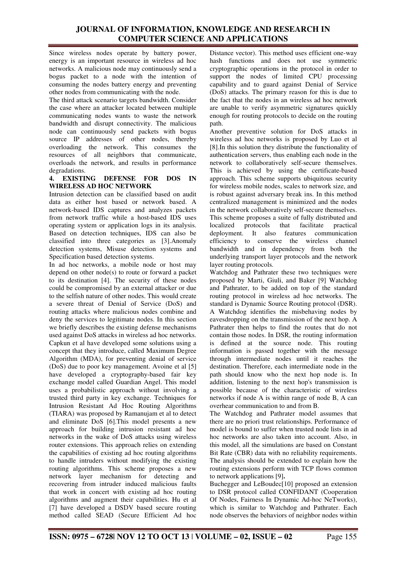Since wireless nodes operate by battery power, energy is an important resource in wireless ad hoc networks. A malicious node may continuously send a bogus packet to a node with the intention of consuming the nodes battery energy and preventing other nodes from communicating with the node.

The third attack scenario targets bandwidth. Consider the case where an attacker located between multiple communicating nodes wants to waste the network bandwidth and disrupt connectivity. The malicious node can continuously send packets with bogus source IP addresses of other nodes, thereby overloading the network. This consumes the resources of all neighbors that communicate, overloads the network, and results in performance degradations.

#### **4. EXISTING DEFENSE FOR DOS IN WIRELESS AD HOC NETWORK**

Intrusion detection can be classified based on audit data as either host based or network based. A network-based IDS captures and analyzes packets from network traffic while a host-based IDS uses operating system or application logs in its analysis. Based on detection techniques, IDS can also be classified into three categories as [3].Anomaly detection systems, Misuse detection systems and Specification based detection systems.

In ad hoc networks, a mobile node or host may depend on other node(s) to route or forward a packet to its destination [4]. The security of these nodes could be compromised by an external attacker or due to the selfish nature of other nodes. This would create a severe threat of Denial of Service (DoS) and routing attacks where malicious nodes combine and deny the services to legitimate nodes. In this section we briefly describes the existing defense mechanisms used against DoS attacks in wireless ad hoc networks. Capkun et al have developed some solutions using a concept that they introduce, called Maximum Degree Algorithm (MDA), for preventing denial of service (DoS) due to poor key management. Avoine et al [5] have developed a cryptography-based fair key exchange model called Guardian Angel. This model uses a probabilistic approach without involving a trusted third party in key exchange. Techniques for Intrusion Resistant Ad Hoc Routing Algorithms (TIARA) was proposed by Ramanujam et al to detect and eliminate DoS [6].This model presents a new approach for building intrusion resistant ad hoc networks in the wake of DoS attacks using wireless router extensions. This approach relies on extending the capabilities of existing ad hoc routing algorithms to handle intruders without modifying the existing routing algorithms. This scheme proposes a new network layer mechanism for detecting and recovering from intruder induced malicious faults that work in concert with existing ad hoc routing algorithms and augment their capabilities. Hu et al [7] have developed a DSDV based secure routing method called SEAD (Secure Efficient Ad hoc

Distance vector). This method uses efficient one-way hash functions and does not use symmetric cryptographic operations in the protocol in order to support the nodes of limited CPU processing capability and to guard against Denial of Service (DoS) attacks. The primary reason for this is due to the fact that the nodes in an wireless ad hoc network are unable to verify asymmetric signatures quickly enough for routing protocols to decide on the routing path.

Another preventive solution for DoS attacks in wireless ad hoc networks is proposed by Luo et al [8].In this solution they distribute the functionality of authentication servers, thus enabling each node in the network to collaboratively self-secure themselves. This is achieved by using the certificate-based approach. This scheme supports ubiquitous security for wireless mobile nodes, scales to network size, and is robust against adversary break ins. In this method centralized management is minimized and the nodes in the network collaboratively self-secure themselves. This scheme proposes a suite of fully distributed and localized protocols that facilitate practical deployment. It also features communication efficiency to conserve the wireless channel bandwidth and in dependency from both the underlying transport layer protocols and the network layer routing protocols.

Watchdog and Pathrater these two techniques were proposed by Marti, Giuli, and Baker [9] Watchdog and Pathrater, to be added on top of the standard routing protocol in wireless ad hoc networks. The standard is Dynamic Source Routing protocol (DSR). A Watchdog identifies the misbehaving nodes by eavesdropping on the transmission of the next hop. A Pathrater then helps to find the routes that do not contain those nodes. In DSR, the routing information is defined at the source node. This routing information is passed together with the message through intermediate nodes until it reaches the destination. Therefore, each intermediate node in the path should know who the next hop node is. In addition, listening to the next hop's transmission is possible because of the characteristic of wireless networks if node A is within range of node B, A can overhear communication to and from B.

The Watchdog and Pathrater model assumes that there are no priori trust relationships. Performance of model is bound to suffer when trusted node lists in ad hoc networks are also taken into account. Also, in this model, all the simulations are based on Constant Bit Rate (CBR) data with no reliability requirements. The analysis should be extended to explain how the routing extensions perform with TCP flows common to network applications [9]**.**

Buchegger and LeBoudec<sup>[10]</sup> proposed an extension to DSR protocol called CONFIDANT (Cooperation Of Nodes, Fairness In Dynamic Ad-hoc NeTworks), which is similar to Watchdog and Pathrater. Each node observes the behaviors of neighbor nodes within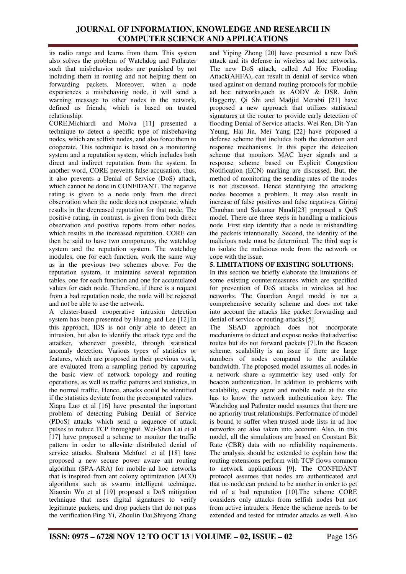its radio range and learns from them. This system also solves the problem of Watchdog and Pathrater such that misbehavior nodes are punished by not including them in routing and not helping them on forwarding packets. Moreover, when a node experiences a misbehaving node, it will send a warning message to other nodes in the network, defined as friends, which is based on trusted relationship.

CORE,Michiardi and Molva [11] presented a technique to detect a specific type of misbehaving nodes, which are selfish nodes, and also force them to cooperate. This technique is based on a monitoring system and a reputation system, which includes both direct and indirect reputation from the system. In another word, CORE prevents false accusation, thus, it also prevents a Denial of Service (DoS) attack, which cannot be done in CONFIDANT. The negative rating is given to a node only from the direct observation when the node does not cooperate, which results in the decreased reputation for that node. The positive rating, in contrast, is given from both direct observation and positive reports from other nodes, which results in the increased reputation. CORE can then be said to have two components, the watchdog system and the reputation system. The watchdog modules, one for each function, work the same way as in the previous two schemes above. For the reputation system, it maintains several reputation tables, one for each function and one for accumulated values for each node. Therefore, if there is a request from a bad reputation node, the node will be rejected and not be able to use the network.

A cluster-based cooperative intrusion detection system has been presented by Huang and Lee [12].In this approach, IDS is not only able to detect an intrusion, but also to identify the attack type and the attacker, whenever possible, through statistical anomaly detection. Various types of statistics or features, which are proposed in their previous work, are evaluated from a sampling period by capturing the basic view of network topology and routing operations, as well as traffic patterns and statistics, in the normal traffic. Hence, attacks could be identified if the statistics deviate from the precomputed values.

Xiapu Luo et al [16] have presented the important problem of detecting Pulsing Denial of Service (PDoS) attacks which send a sequence of attack pulses to reduce TCP throughput. Wei-Shen Lai et al [17] have proposed a scheme to monitor the traffic pattern in order to alleviate distributed denial of service attacks. Shabana Mehfuz1 et al [18] have proposed a new secure power aware ant routing algorithm (SPA-ARA) for mobile ad hoc networks that is inspired from ant colony optimization (ACO) algorithms such as swarm intelligent technique. Xiaoxin Wu et al [19] proposed a DoS mitigation technique that uses digital signatures to verify legitimate packets, and drop packets that do not pass the verification.Ping Yi, Zhoulin Dai,Shiyong Zhang

and Yiping Zhong [20] have presented a new DoS attack and its defense in wireless ad hoc networks. The new DoS attack, called Ad Hoc Flooding Attack(AHFA), can result in denial of service when used against on demand routing protocols for mobile ad hoc networks,such as AODV & DSR. John Haggerty, Qi Shi and Madjid Merabti [21] have proposed a new approach that utilizes statistical signatures at the router to provide early detection of flooding Denial of Service attacks. Wei Ren, Dit-Yan Yeung, Hai Jin, Mei Yang [22] have proposed a defense scheme that includes both the detection and response mechanisms. In this paper the detection scheme that monitors MAC layer signals and a response scheme based on Explicit Congestion Notification (ECN) marking are discussed. But, the method of monitoring the sending rates of the nodes is not discussed. Hence identifying the attacking nodes becomes a problem. It may also result in increase of false positives and false negatives. Giriraj Chauhan and Sukumar Nandi[23] proposed a QoS model. There are three steps in handling a malicious node. First step identify that a node is mishandling the packets intentionally. Second, the identity of the malicious node must be determined. The third step is to isolate the malicious node from the network or cope with the issue.

## **5. LIMITATIONS OF EXISTING SOLUTIONS:**

In this section we briefly elaborate the limitations of some existing countermeasures which are specified for prevention of DoS attacks in wireless ad hoc networks. The Guardian Angel model is not a comprehensive security scheme and does not take into account the attacks like packet forwarding and denial of service or routing attacks [5].

The SEAD approach does not incorporate mechanisms to detect and expose nodes that advertise routes but do not forward packets [7].In the Beacon scheme, scalability is an issue if there are large numbers of nodes compared to the available bandwidth. The proposed model assumes all nodes in a network share a symmetric key used only for beacon authentication. In addition to problems with scalability, every agent and mobile node at the site has to know the network authentication key. The Watchdog and Pathrater model assumes that there are no apriority trust relationships. Performance of model is bound to suffer when trusted node lists in ad hoc networks are also taken into account. Also, in this model, all the simulations are based on Constant Bit Rate (CBR) data with no reliability requirements. The analysis should be extended to explain how the routing extensions perform with TCP flows common to network applications [9]. The CONFIDANT protocol assumes that nodes are authenticated and that no node can pretend to be another in order to get rid of a bad reputation [10].The scheme CORE considers only attacks from selfish nodes but not from active intruders. Hence the scheme needs to be extended and tested for intruder attacks as well. Also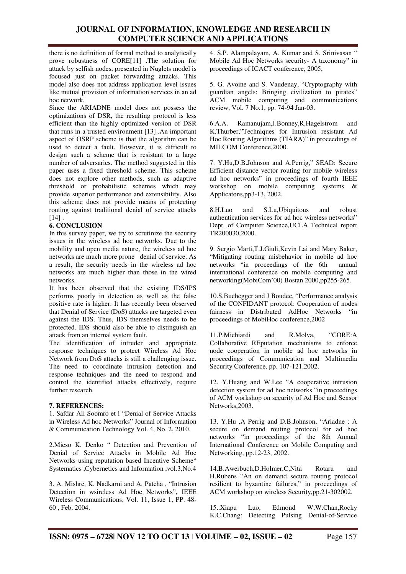there is no definition of formal method to analytically prove robustness of CORE[11] .The solution for attack by selfish nodes, presented in Nuglets model is focused just on packet forwarding attacks. This model also does not address application level issues like mutual provision of information services in an ad hoc network.

Since the ARIADNE model does not possess the optimizations of DSR, the resulting protocol is less efficient than the highly optimized version of DSR that runs in a trusted environment [13] .An important aspect of OSRP scheme is that the algorithm can be used to detect a fault. However, it is difficult to design such a scheme that is resistant to a large number of adversaries. The method suggested in this paper uses a fixed threshold scheme. This scheme does not explore other methods, such as adaptive threshold or probabilistic schemes which may provide superior performance and extensibility. Also this scheme does not provide means of protecting routing against traditional denial of service attacks  $[14]$ .

## **6. CONCLUSION**

In this survey paper, we try to scrutinize the security issues in the wireless ad hoc networks. Due to the mobility and open media nature, the wireless ad hoc networks are much more prone denial of service. As a result, the security needs in the wireless ad hoc networks are much higher than those in the wired networks.

It has been observed that the existing IDS/IPS performs poorly in detection as well as the false positive rate is higher. It has recently been observed that Denial of Service (DoS) attacks are targeted even against the IDS. Thus, IDS themselves needs to be protected. IDS should also be able to distinguish an attack from an internal system fault.

The identification of intruder and appropriate response techniques to protect Wireless Ad Hoc Network from DoS attacks is still a challenging issue. The need to coordinate intrusion detection and response techniques and the need to respond and control the identified attacks effectively, require further research.

#### **7. REFERENCES:**

1. Safdar Ali Soomro et l "Denial of Service Attacks in Wireless Ad hoc Networks" Journal of Information & Communication Technology Vol. 4, No. 2, 2010.

2.Mieso K. Denko " Detection and Prevention of Denial of Service Attacks in Mobile Ad Hoc Networks using reputation based Incentive Scheme" Systematics ,Cybernetics and Information ,vol.3,No.4

3. A. Mishre, K. Nadkarni and A. Patcha , "Intrusion Detection in wsireless Ad Hoc Networks", IEEE Wireless Communications, Vol. 11, Issue 1, PP. 48- 60 , Feb. 2004.

4. S.P. Alampalayam, A. Kumar and S. Srinivasan " Mobile Ad Hoc Networks security- A taxonomy" in proceedings of ICACT conference, 2005,

5. G. Avoine and S. Vaudenay, "Cryptography with guardian angels: Bringing civilization to pirates" ACM mobile computing and communications review, Vol. 7 No.1, pp. 74-94 Jan-03.

6.A.A. Ramanujam,J.Bonney,R,Hagelstrom and K.Thurber,"Techniques for Intrusion resistant Ad Hoc Routing Algorithms (TIARA)" in proceedings of MILCOM Conference,2000.

7. Y.Hu,D.B.Johnson and A.Perrig," SEAD: Secure Efficient distance vector routing for mobile wireless ad hoc networks" in proceedings of fourth IEEE workshop on mobile computing systems & Applicatons,pp3-13, 2002.

8.H.Luo and S.Lu,Ubiquitous and robust authentication services for ad hoc wireless networks" Dept. of Computer Science,UCLA Technical report TR200030,2000.

9. Sergio Marti,T.J.Giuli,Kevin Lai and Mary Baker, "Mitigating routing misbehavior in mobile ad hoc networks "in proceedings of the 6th annual international conference on mobile computing and networking(MobiCom'00) Bostan 2000,pp255-265.

10.S.Buchegger and J Boudec, "Performance analysis of the CONFIDANT protocol: Cooperation of nodes fairness in Distributed AdHoc Networks "in proceedings of MobiHoc conference,2002

11.P.Michiardi and R.Molva, "CORE:A Collaborative REputation mechanisms to enforce node cooperation in mobile ad hoc networks in proceedings of Communication and Multimedia Security Conference, pp. 107-121,2002.

12. Y.Huang and W.Lee "A cooperative intrusion detection system for ad hoc networks "in proceedings of ACM workshop on security of Ad Hoc and Sensor Networks,2003.

13. Y.Hu ,A Perrig and D.B.Johnson, "Ariadne : A secure on demand routing protocol for ad hoc networks "in proceedings of the 8th Annual International Conference on Mobile Computing and Networking, pp.12-23, 2002.

14.B.Awerbuch,D.Holmer,C,Nita Rotaru and H.Rubens "An on demand secure routing protocol resilient to byzantine failures," in proceedings of ACM workshop on wireless Security,pp.21-302002.

15..Xiapu Luo, Edmond W.W.Chan,Rocky K.C.Chang: Detecting Pulsing Denial-of-Service